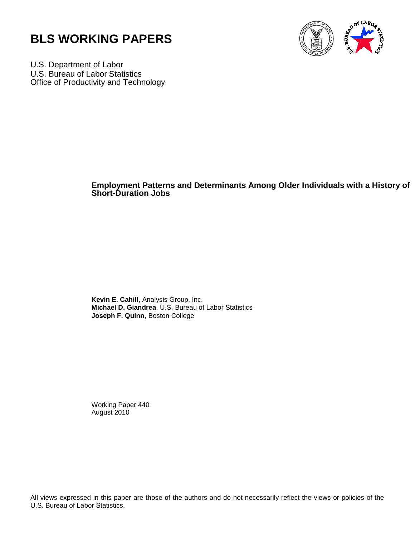



U.S. Department of Labor U.S. Bureau of Labor Statistics Office of Productivity and Technology

#### **Employment Patterns and Determinants Among Older Individuals with a History of Short-Duration Jobs**

**Kevin E. Cahill**, Analysis Group, Inc. **Michael D. Giandrea**, U.S. Bureau of Labor Statistics **Joseph F. Quinn**, Boston College

Working Paper 440 August 2010

All views expressed in this paper are those of the authors and do not necessarily reflect the views or policies of the U.S. Bureau of Labor Statistics.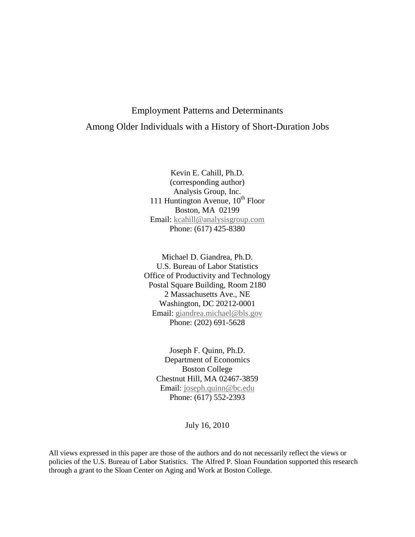# Employment Patterns and Determinants Among Older Individuals with a History of Short-Duration Jobs

Kevin E. Cahill, Ph.D. (corresponding author) Analysis Group, Inc. 111 Huntington Avenue,  $10^{th}$  Floor Boston, MA 02199 Email: kcahill@analysisgroup.com Phone: (617) 425-8380

Michael D. Giandrea, Ph.D. U.S. Bureau of Labor Statistics Office of Productivity and Technology Postal Square Building, Room 2180 2 Massachusetts Ave., NE Washington, DC 20212-0001 Email: [giandrea.michael@bls.gov](mailto:giandrea.michael@bls.gov) Phone: (202) 691-5628

Joseph F. Quinn, Ph.D. Department of Economics Boston College Chestnut Hill, MA 02467-3859 Email: [joseph.quinn@bc.edu](mailto:joseph.quinn@bc.edu) Phone: (617) 552-2393

July 16, 2010

All views expressed in this paper are those of the authors and do not necessarily reflect the views or policies of the U.S. Bureau of Labor Statistics. The Alfred P. Sloan Foundation supported this research through a grant to the Sloan Center on Aging and Work at Boston College.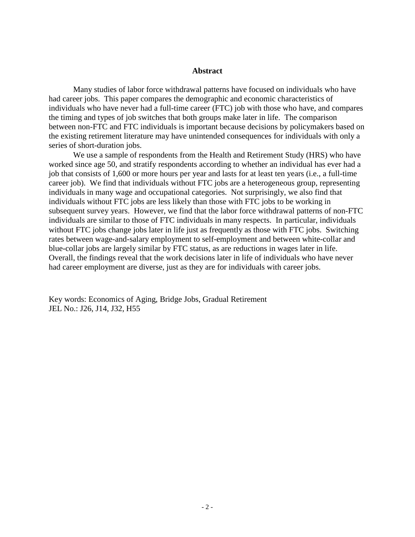#### **Abstract**

Many studies of labor force withdrawal patterns have focused on individuals who have had career jobs. This paper compares the demographic and economic characteristics of individuals who have never had a full-time career (FTC) job with those who have, and compares the timing and types of job switches that both groups make later in life. The comparison between non-FTC and FTC individuals is important because decisions by policymakers based on the existing retirement literature may have unintended consequences for individuals with only a series of short-duration jobs.

 We use a sample of respondents from the Health and Retirement Study (HRS) who have worked since age 50, and stratify respondents according to whether an individual has ever had a job that consists of 1,600 or more hours per year and lasts for at least ten years (i.e., a full-time career job). We find that individuals without FTC jobs are a heterogeneous group, representing individuals in many wage and occupational categories. Not surprisingly, we also find that individuals without FTC jobs are less likely than those with FTC jobs to be working in subsequent survey years. However, we find that the labor force withdrawal patterns of non-FTC individuals are similar to those of FTC individuals in many respects. In particular, individuals without FTC jobs change jobs later in life just as frequently as those with FTC jobs. Switching rates between wage-and-salary employment to self-employment and between white-collar and blue-collar jobs are largely similar by FTC status, as are reductions in wages later in life. Overall, the findings reveal that the work decisions later in life of individuals who have never had career employment are diverse, just as they are for individuals with career jobs.

Key words: Economics of Aging, Bridge Jobs, Gradual Retirement JEL No.: J26, J14, J32, H55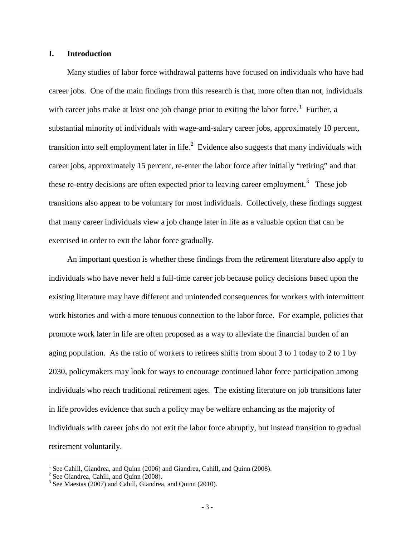#### **I. Introduction**

Many studies of labor force withdrawal patterns have focused on individuals who have had career jobs. One of the main findings from this research is that, more often than not, individuals with career jobs make at least one job change prior to exiting the labor force.<sup>[1](#page-3-0)</sup> Further, a substantial minority of individuals with wage-and-salary career jobs, approximately 10 percent, transition into self employment later in life.<sup>[2](#page-3-1)</sup> Evidence also suggests that many individuals with career jobs, approximately 15 percent, re-enter the labor force after initially "retiring" and that these re-entry decisions are often expected prior to leaving career employment.<sup>[3](#page-3-2)</sup> These job transitions also appear to be voluntary for most individuals. Collectively, these findings suggest that many career individuals view a job change later in life as a valuable option that can be exercised in order to exit the labor force gradually.

An important question is whether these findings from the retirement literature also apply to individuals who have never held a full-time career job because policy decisions based upon the existing literature may have different and unintended consequences for workers with intermittent work histories and with a more tenuous connection to the labor force. For example, policies that promote work later in life are often proposed as a way to alleviate the financial burden of an aging population. As the ratio of workers to retirees shifts from about 3 to 1 today to 2 to 1 by 2030, policymakers may look for ways to encourage continued labor force participation among individuals who reach traditional retirement ages. The existing literature on job transitions later in life provides evidence that such a policy may be welfare enhancing as the majority of individuals with career jobs do not exit the labor force abruptly, but instead transition to gradual retirement voluntarily.

 $\overline{a}$ 

 $1$  See Cahill, Giandrea, and Quinn (2006) and Giandrea, Cahill, and Quinn (2008).

<span id="page-3-1"></span><span id="page-3-0"></span> $2^2$  See Giandrea, Cahill, and Quinn (2008).

<span id="page-3-2"></span><sup>&</sup>lt;sup>3</sup> See Maestas (2007) and Cahill, Giandrea, and Quinn (2010).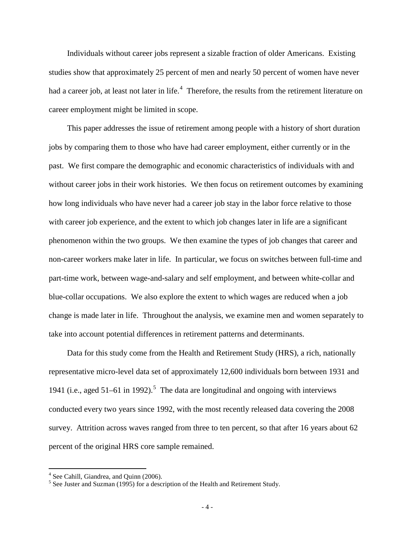Individuals without career jobs represent a sizable fraction of older Americans. Existing studies show that approximately 25 percent of men and nearly 50 percent of women have never had a career job, at least not later in life.<sup>[4](#page-4-0)</sup> Therefore, the results from the retirement literature on career employment might be limited in scope.

This paper addresses the issue of retirement among people with a history of short duration jobs by comparing them to those who have had career employment, either currently or in the past. We first compare the demographic and economic characteristics of individuals with and without career jobs in their work histories. We then focus on retirement outcomes by examining how long individuals who have never had a career job stay in the labor force relative to those with career job experience, and the extent to which job changes later in life are a significant phenomenon within the two groups. We then examine the types of job changes that career and non-career workers make later in life. In particular, we focus on switches between full-time and part-time work, between wage-and-salary and self employment, and between white-collar and blue-collar occupations. We also explore the extent to which wages are reduced when a job change is made later in life. Throughout the analysis, we examine men and women separately to take into account potential differences in retirement patterns and determinants.

Data for this study come from the Health and Retirement Study (HRS), a rich, nationally representative micro-level data set of approximately 12,600 individuals born between 1931 and 1941 (i.e., aged  $51-61$  $51-61$  in 1992).<sup>5</sup> The data are longitudinal and ongoing with interviews conducted every two years since 1992, with the most recently released data covering the 2008 survey. Attrition across waves ranged from three to ten percent, so that after 16 years about 62 percent of the original HRS core sample remained.

 $\overline{a}$ 

<span id="page-4-0"></span> $4$  See Cahill, Giandrea, and Quinn (2006).

<span id="page-4-1"></span><sup>5</sup> See Juster and Suzman (1995) for a description of the Health and Retirement Study.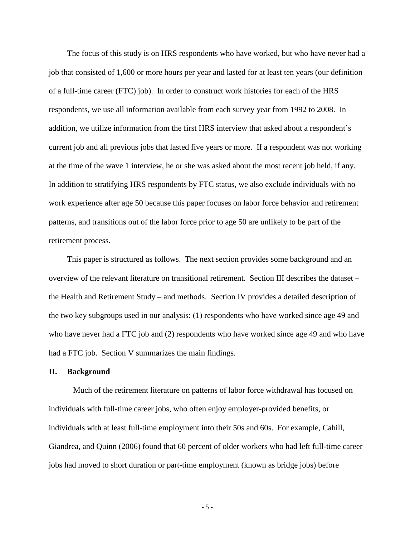The focus of this study is on HRS respondents who have worked, but who have never had a job that consisted of 1,600 or more hours per year and lasted for at least ten years (our definition of a full-time career (FTC) job). In order to construct work histories for each of the HRS respondents, we use all information available from each survey year from 1992 to 2008. In addition, we utilize information from the first HRS interview that asked about a respondent's current job and all previous jobs that lasted five years or more. If a respondent was not working at the time of the wave 1 interview, he or she was asked about the most recent job held, if any. In addition to stratifying HRS respondents by FTC status, we also exclude individuals with no work experience after age 50 because this paper focuses on labor force behavior and retirement patterns, and transitions out of the labor force prior to age 50 are unlikely to be part of the retirement process.

This paper is structured as follows. The next section provides some background and an overview of the relevant literature on transitional retirement. Section III describes the dataset – the Health and Retirement Study – and methods. Section IV provides a detailed description of the two key subgroups used in our analysis: (1) respondents who have worked since age 49 and who have never had a FTC job and (2) respondents who have worked since age 49 and who have had a FTC job. Section V summarizes the main findings.

#### **II. Background**

Much of the retirement literature on patterns of labor force withdrawal has focused on individuals with full-time career jobs, who often enjoy employer-provided benefits, or individuals with at least full-time employment into their 50s and 60s. For example, Cahill, Giandrea, and Quinn (2006) found that 60 percent of older workers who had left full-time career jobs had moved to short duration or part-time employment (known as bridge jobs) before

- 5 -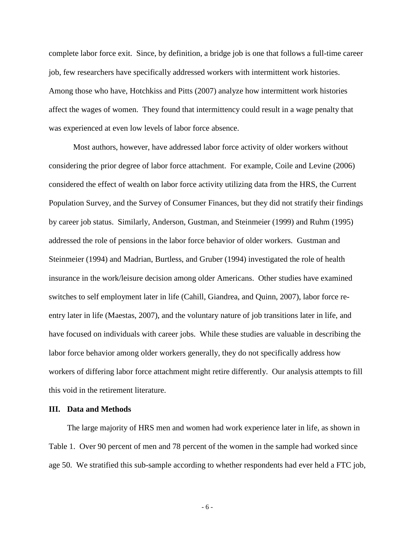complete labor force exit. Since, by definition, a bridge job is one that follows a full-time career job, few researchers have specifically addressed workers with intermittent work histories. Among those who have, Hotchkiss and Pitts (2007) analyze how intermittent work histories affect the wages of women. They found that intermittency could result in a wage penalty that was experienced at even low levels of labor force absence.

Most authors, however, have addressed labor force activity of older workers without considering the prior degree of labor force attachment. For example, Coile and Levine (2006) considered the effect of wealth on labor force activity utilizing data from the HRS, the Current Population Survey, and the Survey of Consumer Finances, but they did not stratify their findings by career job status. Similarly, Anderson, Gustman, and Steinmeier (1999) and Ruhm (1995) addressed the role of pensions in the labor force behavior of older workers. Gustman and Steinmeier (1994) and Madrian, Burtless, and Gruber (1994) investigated the role of health insurance in the work/leisure decision among older Americans. Other studies have examined switches to self employment later in life (Cahill, Giandrea, and Quinn, 2007), labor force reentry later in life (Maestas, 2007), and the voluntary nature of job transitions later in life, and have focused on individuals with career jobs. While these studies are valuable in describing the labor force behavior among older workers generally, they do not specifically address how workers of differing labor force attachment might retire differently. Our analysis attempts to fill this void in the retirement literature.

#### **III. Data and Methods**

The large majority of HRS men and women had work experience later in life, as shown in Table 1. Over 90 percent of men and 78 percent of the women in the sample had worked since age 50. We stratified this sub-sample according to whether respondents had ever held a FTC job,

- 6 -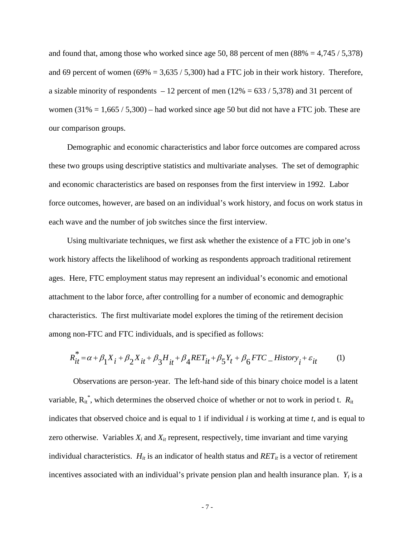and found that, among those who worked since age 50, 88 percent of men  $(88\% = 4,745 / 5,378)$ and 69 percent of women (69% = 3,635 / 5,300) had a FTC job in their work history. Therefore, a sizable minority of respondents  $-12$  percent of men (12% = 633 / 5,378) and 31 percent of women  $(31\% = 1,665 / 5,300)$  – had worked since age 50 but did not have a FTC job. These are our comparison groups.

Demographic and economic characteristics and labor force outcomes are compared across these two groups using descriptive statistics and multivariate analyses. The set of demographic and economic characteristics are based on responses from the first interview in 1992. Labor force outcomes, however, are based on an individual's work history, and focus on work status in each wave and the number of job switches since the first interview.

Using multivariate techniques, we first ask whether the existence of a FTC job in one's work history affects the likelihood of working as respondents approach traditional retirement ages. Here, FTC employment status may represent an individual's economic and emotional attachment to the labor force, after controlling for a number of economic and demographic characteristics. The first multivariate model explores the timing of the retirement decision among non-FTC and FTC individuals, and is specified as follows:

$$
R_{it}^* = \alpha + \beta_1 X_i + \beta_2 X_{it} + \beta_3 H_{it} + \beta_4 RET_{it} + \beta_5 Y_t + \beta_6 FTC \_ \, History_i + \varepsilon_{it} \tag{1}
$$

Observations are person-year. The left-hand side of this binary choice model is a latent variable,  $R_{it}^*$ , which determines the observed choice of whether or not to work in period t.  $R_{it}$ indicates that observed choice and is equal to 1 if individual *i* is working at time *t*, and is equal to zero otherwise. Variables  $X_i$  and  $X_i$  represent, respectively, time invariant and time varying individual characteristics.  $H_{it}$  is an indicator of health status and  $RET_{it}$  is a vector of retirement incentives associated with an individual's private pension plan and health insurance plan.  $Y_t$  is a

$$
-7 -
$$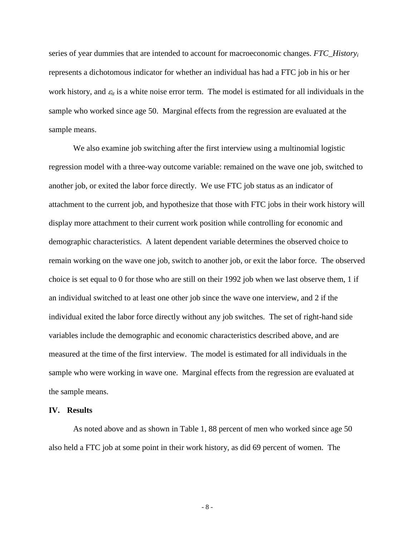series of year dummies that are intended to account for macroeconomic changes. *FTC\_Historyi* represents a dichotomous indicator for whether an individual has had a FTC job in his or her work history, and  $\varepsilon_{it}$  is a white noise error term. The model is estimated for all individuals in the sample who worked since age 50. Marginal effects from the regression are evaluated at the sample means.

We also examine job switching after the first interview using a multinomial logistic regression model with a three-way outcome variable: remained on the wave one job, switched to another job, or exited the labor force directly. We use FTC job status as an indicator of attachment to the current job, and hypothesize that those with FTC jobs in their work history will display more attachment to their current work position while controlling for economic and demographic characteristics. A latent dependent variable determines the observed choice to remain working on the wave one job, switch to another job, or exit the labor force. The observed choice is set equal to 0 for those who are still on their 1992 job when we last observe them, 1 if an individual switched to at least one other job since the wave one interview, and 2 if the individual exited the labor force directly without any job switches. The set of right-hand side variables include the demographic and economic characteristics described above, and are measured at the time of the first interview. The model is estimated for all individuals in the sample who were working in wave one. Marginal effects from the regression are evaluated at the sample means.

#### **IV. Results**

As noted above and as shown in Table 1, 88 percent of men who worked since age 50 also held a FTC job at some point in their work history, as did 69 percent of women. The

- 8 -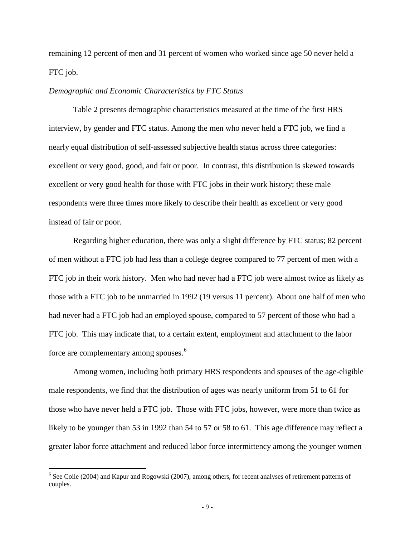remaining 12 percent of men and 31 percent of women who worked since age 50 never held a FTC job.

#### *Demographic and Economic Characteristics by FTC Status*

Table 2 presents demographic characteristics measured at the time of the first HRS interview, by gender and FTC status. Among the men who never held a FTC job, we find a nearly equal distribution of self-assessed subjective health status across three categories: excellent or very good, good, and fair or poor. In contrast, this distribution is skewed towards excellent or very good health for those with FTC jobs in their work history; these male respondents were three times more likely to describe their health as excellent or very good instead of fair or poor.

Regarding higher education, there was only a slight difference by FTC status; 82 percent of men without a FTC job had less than a college degree compared to 77 percent of men with a FTC job in their work history. Men who had never had a FTC job were almost twice as likely as those with a FTC job to be unmarried in 1992 (19 versus 11 percent). About one half of men who had never had a FTC job had an employed spouse, compared to 57 percent of those who had a FTC job. This may indicate that, to a certain extent, employment and attachment to the labor force are complementary among spouses.<sup>[6](#page-9-0)</sup>

 Among women, including both primary HRS respondents and spouses of the age-eligible male respondents, we find that the distribution of ages was nearly uniform from 51 to 61 for those who have never held a FTC job. Those with FTC jobs, however, were more than twice as likely to be younger than 53 in 1992 than 54 to 57 or 58 to 61. This age difference may reflect a greater labor force attachment and reduced labor force intermittency among the younger women

 $\overline{a}$ 

<span id="page-9-0"></span> $6$  See Coile (2004) and Kapur and Rogowski (2007), among others, for recent analyses of retirement patterns of couples.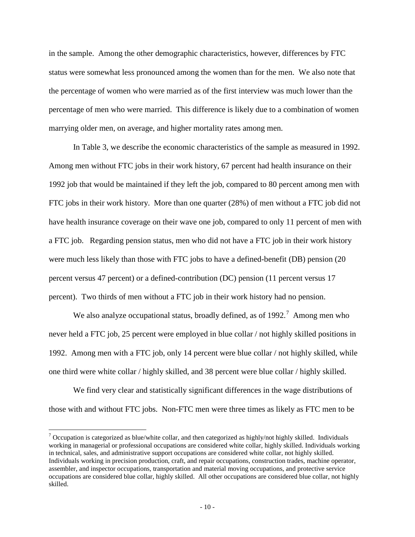in the sample. Among the other demographic characteristics, however, differences by FTC status were somewhat less pronounced among the women than for the men. We also note that the percentage of women who were married as of the first interview was much lower than the percentage of men who were married. This difference is likely due to a combination of women marrying older men, on average, and higher mortality rates among men.

In Table 3, we describe the economic characteristics of the sample as measured in 1992. Among men without FTC jobs in their work history, 67 percent had health insurance on their 1992 job that would be maintained if they left the job, compared to 80 percent among men with FTC jobs in their work history. More than one quarter (28%) of men without a FTC job did not have health insurance coverage on their wave one job, compared to only 11 percent of men with a FTC job. Regarding pension status, men who did not have a FTC job in their work history were much less likely than those with FTC jobs to have a defined-benefit (DB) pension (20 percent versus 47 percent) or a defined-contribution (DC) pension (11 percent versus 17 percent). Two thirds of men without a FTC job in their work history had no pension.

We also analyze occupational status, broadly defined, as of  $1992.^7$  $1992.^7$  Among men who never held a FTC job, 25 percent were employed in blue collar / not highly skilled positions in 1992. Among men with a FTC job, only 14 percent were blue collar / not highly skilled, while one third were white collar / highly skilled, and 38 percent were blue collar / highly skilled.

We find very clear and statistically significant differences in the wage distributions of those with and without FTC jobs. Non-FTC men were three times as likely as FTC men to be

 $\overline{a}$ 

<span id="page-10-0"></span> $\frac{7}{2}$  Occupation is categorized as blue/white collar, and then categorized as highly/not highly skilled. Individuals working in managerial or professional occupations are considered white collar, highly skilled. Individuals working in technical, sales, and administrative support occupations are considered white collar, not highly skilled. Individuals working in precision production, craft, and repair occupations, construction trades, machine operator, assembler, and inspector occupations, transportation and material moving occupations, and protective service occupations are considered blue collar, highly skilled. All other occupations are considered blue collar, not highly skilled.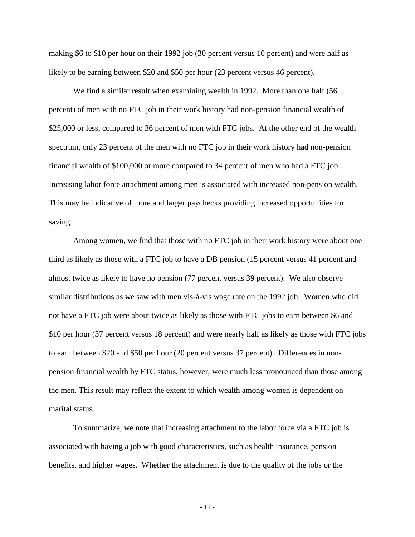making \$6 to \$10 per hour on their 1992 job (30 percent versus 10 percent) and were half as likely to be earning between \$20 and \$50 per hour (23 percent versus 46 percent).

We find a similar result when examining wealth in 1992. More than one half (56 percent) of men with no FTC job in their work history had non-pension financial wealth of \$25,000 or less, compared to 36 percent of men with FTC jobs. At the other end of the wealth spectrum, only 23 percent of the men with no FTC job in their work history had non-pension financial wealth of \$100,000 or more compared to 34 percent of men who had a FTC job. Increasing labor force attachment among men is associated with increased non-pension wealth. This may be indicative of more and larger paychecks providing increased opportunities for saving.

Among women, we find that those with no FTC job in their work history were about one third as likely as those with a FTC job to have a DB pension (15 percent versus 41 percent and almost twice as likely to have no pension (77 percent versus 39 percent). We also observe similar distributions as we saw with men vis-à-vis wage rate on the 1992 job. Women who did not have a FTC job were about twice as likely as those with FTC jobs to earn between \$6 and \$10 per hour (37 percent versus 18 percent) and were nearly half as likely as those with FTC jobs to earn between \$20 and \$50 per hour (20 percent versus 37 percent). Differences in nonpension financial wealth by FTC status, however, were much less pronounced than those among the men. This result may reflect the extent to which wealth among women is dependent on marital status.

To summarize, we note that increasing attachment to the labor force via a FTC job is associated with having a job with good characteristics, such as health insurance, pension benefits, and higher wages. Whether the attachment is due to the quality of the jobs or the

- 11 -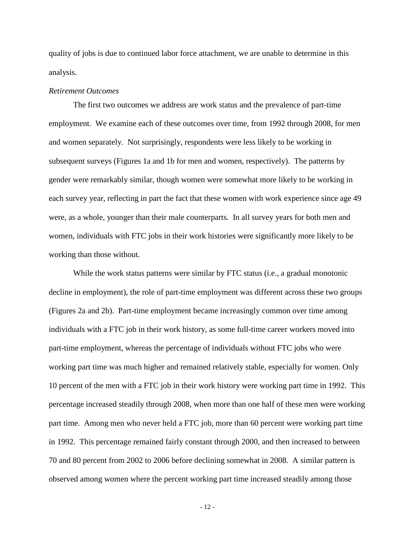quality of jobs is due to continued labor force attachment, we are unable to determine in this analysis.

#### *Retirement Outcomes*

The first two outcomes we address are work status and the prevalence of part-time employment. We examine each of these outcomes over time, from 1992 through 2008, for men and women separately. Not surprisingly, respondents were less likely to be working in subsequent surveys (Figures 1a and 1b for men and women, respectively). The patterns by gender were remarkably similar, though women were somewhat more likely to be working in each survey year, reflecting in part the fact that these women with work experience since age 49 were, as a whole, younger than their male counterparts. In all survey years for both men and women, individuals with FTC jobs in their work histories were significantly more likely to be working than those without.

While the work status patterns were similar by FTC status (i.e., a gradual monotonic decline in employment), the role of part-time employment was different across these two groups (Figures 2a and 2b). Part-time employment became increasingly common over time among individuals with a FTC job in their work history, as some full-time career workers moved into part-time employment, whereas the percentage of individuals without FTC jobs who were working part time was much higher and remained relatively stable, especially for women. Only 10 percent of the men with a FTC job in their work history were working part time in 1992. This percentage increased steadily through 2008, when more than one half of these men were working part time. Among men who never held a FTC job, more than 60 percent were working part time in 1992. This percentage remained fairly constant through 2000, and then increased to between 70 and 80 percent from 2002 to 2006 before declining somewhat in 2008. A similar pattern is observed among women where the percent working part time increased steadily among those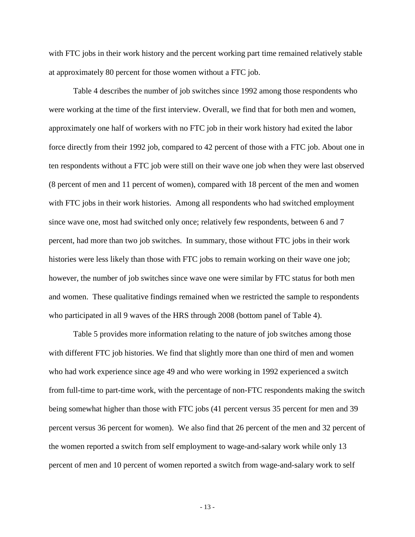with FTC jobs in their work history and the percent working part time remained relatively stable at approximately 80 percent for those women without a FTC job.

Table 4 describes the number of job switches since 1992 among those respondents who were working at the time of the first interview. Overall, we find that for both men and women, approximately one half of workers with no FTC job in their work history had exited the labor force directly from their 1992 job, compared to 42 percent of those with a FTC job. About one in ten respondents without a FTC job were still on their wave one job when they were last observed (8 percent of men and 11 percent of women), compared with 18 percent of the men and women with FTC jobs in their work histories. Among all respondents who had switched employment since wave one, most had switched only once; relatively few respondents, between 6 and 7 percent, had more than two job switches. In summary, those without FTC jobs in their work histories were less likely than those with FTC jobs to remain working on their wave one job; however, the number of job switches since wave one were similar by FTC status for both men and women. These qualitative findings remained when we restricted the sample to respondents who participated in all 9 waves of the HRS through 2008 (bottom panel of Table 4).

Table 5 provides more information relating to the nature of job switches among those with different FTC job histories. We find that slightly more than one third of men and women who had work experience since age 49 and who were working in 1992 experienced a switch from full-time to part-time work, with the percentage of non-FTC respondents making the switch being somewhat higher than those with FTC jobs (41 percent versus 35 percent for men and 39 percent versus 36 percent for women). We also find that 26 percent of the men and 32 percent of the women reported a switch from self employment to wage-and-salary work while only 13 percent of men and 10 percent of women reported a switch from wage-and-salary work to self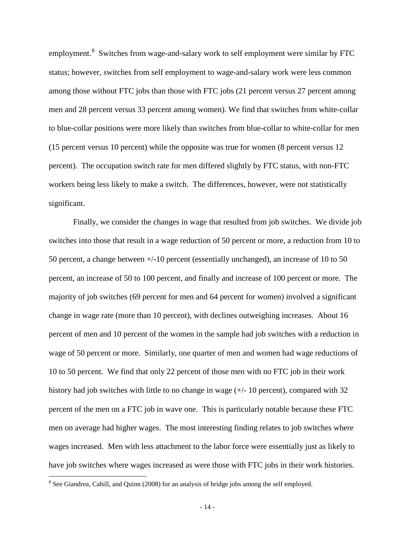employment. $8$  Switches from wage-and-salary work to self employment were similar by FTC status; however, switches from self employment to wage-and-salary work were less common among those without FTC jobs than those with FTC jobs (21 percent versus 27 percent among men and 28 percent versus 33 percent among women). We find that switches from white-collar to blue-collar positions were more likely than switches from blue-collar to white-collar for men (15 percent versus 10 percent) while the opposite was true for women (8 percent versus 12 percent). The occupation switch rate for men differed slightly by FTC status, with non-FTC workers being less likely to make a switch. The differences, however, were not statistically significant.

Finally, we consider the changes in wage that resulted from job switches. We divide job switches into those that result in a wage reduction of 50 percent or more, a reduction from 10 to 50 percent, a change between +/-10 percent (essentially unchanged), an increase of 10 to 50 percent, an increase of 50 to 100 percent, and finally and increase of 100 percent or more. The majority of job switches (69 percent for men and 64 percent for women) involved a significant change in wage rate (more than 10 percent), with declines outweighing increases. About 16 percent of men and 10 percent of the women in the sample had job switches with a reduction in wage of 50 percent or more. Similarly, one quarter of men and women had wage reductions of 10 to 50 percent. We find that only 22 percent of those men with no FTC job in their work history had job switches with little to no change in wage  $(+/- 10$  percent), compared with 32 percent of the men on a FTC job in wave one. This is particularly notable because these FTC men on average had higher wages. The most interesting finding relates to job switches where wages increased. Men with less attachment to the labor force were essentially just as likely to have job switches where wages increased as were those with FTC jobs in their work histories.

 $\overline{a}$ 

<span id="page-14-0"></span><sup>&</sup>lt;sup>8</sup> See Giandrea, Cahill, and Quinn (2008) for an analysis of bridge jobs among the self employed.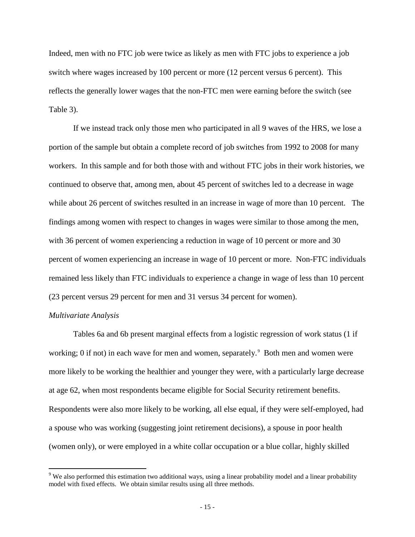Indeed, men with no FTC job were twice as likely as men with FTC jobs to experience a job switch where wages increased by 100 percent or more (12 percent versus 6 percent). This reflects the generally lower wages that the non-FTC men were earning before the switch (see Table 3).

If we instead track only those men who participated in all 9 waves of the HRS, we lose a portion of the sample but obtain a complete record of job switches from 1992 to 2008 for many workers. In this sample and for both those with and without FTC jobs in their work histories, we continued to observe that, among men, about 45 percent of switches led to a decrease in wage while about 26 percent of switches resulted in an increase in wage of more than 10 percent. The findings among women with respect to changes in wages were similar to those among the men, with 36 percent of women experiencing a reduction in wage of 10 percent or more and 30 percent of women experiencing an increase in wage of 10 percent or more. Non-FTC individuals remained less likely than FTC individuals to experience a change in wage of less than 10 percent (23 percent versus 29 percent for men and 31 versus 34 percent for women).

#### *Multivariate Analysis*

Tables 6a and 6b present marginal effects from a logistic regression of work status (1 if working; 0 if not) in each wave for men and women, separately.<sup>[9](#page-15-0)</sup> Both men and women were more likely to be working the healthier and younger they were, with a particularly large decrease at age 62, when most respondents became eligible for Social Security retirement benefits. Respondents were also more likely to be working, all else equal, if they were self-employed, had a spouse who was working (suggesting joint retirement decisions), a spouse in poor health (women only), or were employed in a white collar occupation or a blue collar, highly skilled

<span id="page-15-0"></span><sup>&</sup>lt;sup>9</sup> We also performed this estimation two additional ways, using a linear probability model and a linear probability model with fixed effects. We obtain similar results using all three methods.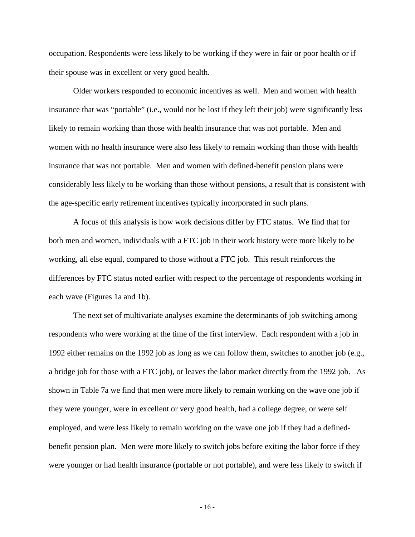occupation. Respondents were less likely to be working if they were in fair or poor health or if their spouse was in excellent or very good health.

Older workers responded to economic incentives as well. Men and women with health insurance that was "portable" (i.e., would not be lost if they left their job) were significantly less likely to remain working than those with health insurance that was not portable. Men and women with no health insurance were also less likely to remain working than those with health insurance that was not portable. Men and women with defined-benefit pension plans were considerably less likely to be working than those without pensions, a result that is consistent with the age-specific early retirement incentives typically incorporated in such plans.

A focus of this analysis is how work decisions differ by FTC status. We find that for both men and women, individuals with a FTC job in their work history were more likely to be working, all else equal, compared to those without a FTC job. This result reinforces the differences by FTC status noted earlier with respect to the percentage of respondents working in each wave (Figures 1a and 1b).

The next set of multivariate analyses examine the determinants of job switching among respondents who were working at the time of the first interview. Each respondent with a job in 1992 either remains on the 1992 job as long as we can follow them, switches to another job (e.g., a bridge job for those with a FTC job), or leaves the labor market directly from the 1992 job. As shown in Table 7a we find that men were more likely to remain working on the wave one job if they were younger, were in excellent or very good health, had a college degree, or were self employed, and were less likely to remain working on the wave one job if they had a definedbenefit pension plan. Men were more likely to switch jobs before exiting the labor force if they were younger or had health insurance (portable or not portable), and were less likely to switch if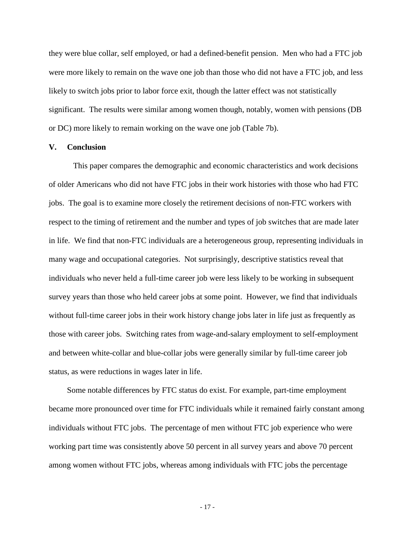they were blue collar, self employed, or had a defined-benefit pension. Men who had a FTC job were more likely to remain on the wave one job than those who did not have a FTC job, and less likely to switch jobs prior to labor force exit, though the latter effect was not statistically significant. The results were similar among women though, notably, women with pensions (DB or DC) more likely to remain working on the wave one job (Table 7b).

#### **V. Conclusion**

This paper compares the demographic and economic characteristics and work decisions of older Americans who did not have FTC jobs in their work histories with those who had FTC jobs. The goal is to examine more closely the retirement decisions of non-FTC workers with respect to the timing of retirement and the number and types of job switches that are made later in life. We find that non-FTC individuals are a heterogeneous group, representing individuals in many wage and occupational categories. Not surprisingly, descriptive statistics reveal that individuals who never held a full-time career job were less likely to be working in subsequent survey years than those who held career jobs at some point. However, we find that individuals without full-time career jobs in their work history change jobs later in life just as frequently as those with career jobs. Switching rates from wage-and-salary employment to self-employment and between white-collar and blue-collar jobs were generally similar by full-time career job status, as were reductions in wages later in life.

Some notable differences by FTC status do exist. For example, part-time employment became more pronounced over time for FTC individuals while it remained fairly constant among individuals without FTC jobs. The percentage of men without FTC job experience who were working part time was consistently above 50 percent in all survey years and above 70 percent among women without FTC jobs, whereas among individuals with FTC jobs the percentage

- 17 -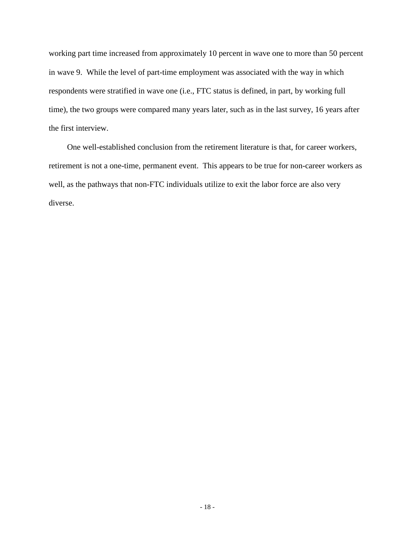working part time increased from approximately 10 percent in wave one to more than 50 percent in wave 9. While the level of part-time employment was associated with the way in which respondents were stratified in wave one (i.e., FTC status is defined, in part, by working full time), the two groups were compared many years later, such as in the last survey, 16 years after the first interview.

One well-established conclusion from the retirement literature is that, for career workers, retirement is not a one-time, permanent event. This appears to be true for non-career workers as well, as the pathways that non-FTC individuals utilize to exit the labor force are also very diverse.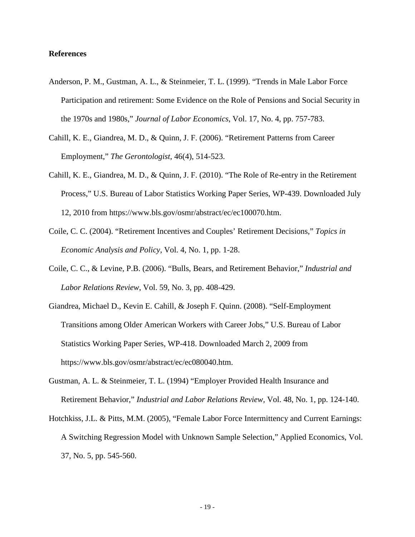#### **References**

- Anderson, P. M., Gustman, A. L., & Steinmeier, T. L. (1999). "Trends in Male Labor Force Participation and retirement: Some Evidence on the Role of Pensions and Social Security in the 1970s and 1980s," *Journal of Labor Economics*, Vol. 17, No. 4, pp. 757-783.
- Cahill, K. E., Giandrea, M. D., & Quinn, J. F. (2006). "Retirement Patterns from Career Employment," *The Gerontologist,* 46(4), 514-523.
- Cahill, K. E., Giandrea, M. D., & Quinn, J. F. (2010). "The Role of Re-entry in the Retirement Process," U.S. Bureau of Labor Statistics Working Paper Series, WP-439. Downloaded July 12, 2010 from https://www.bls.gov/osmr/abstract/ec/ec100070.htm.
- Coile, C. C. (2004). "Retirement Incentives and Couples' Retirement Decisions," *Topics in Economic Analysis and Policy,* Vol. 4, No. 1, pp. 1-28.
- Coile, C. C., & Levine, P.B. (2006). "Bulls, Bears, and Retirement Behavior," *Industrial and Labor Relations Review*, Vol. 59, No. 3, pp. 408-429.
- Giandrea, Michael D., Kevin E. Cahill, & Joseph F. Quinn. (2008). "Self-Employment Transitions among Older American Workers with Career Jobs," U.S. Bureau of Labor Statistics Working Paper Series, WP-418. Downloaded March 2, 2009 from https://www.bls.gov/osmr/abstract/ec/ec080040.htm.
- Gustman, A. L. & Steinmeier, T. L. (1994) "Employer Provided Health Insurance and Retirement Behavior," *Industrial and Labor Relations Review,* Vol. 48, No. 1, pp. 124-140.
- Hotchkiss, J.L. & Pitts, M.M. (2005), "Female Labor Force Intermittency and Current Earnings: A Switching Regression Model with Unknown Sample Selection," Applied Economics, Vol. 37, No. 5, pp. 545-560.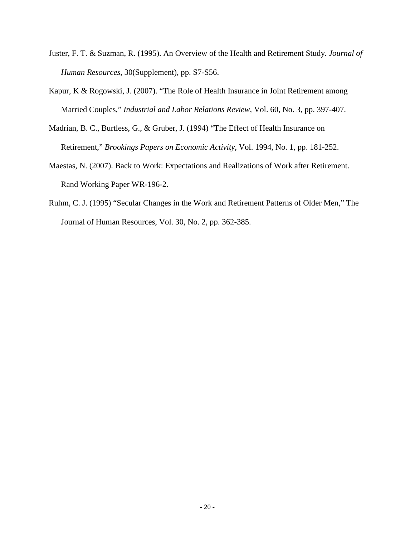- Juster, F. T. & Suzman, R. (1995). An Overview of the Health and Retirement Study. *Journal of Human Resources* , 30(Supplement), pp. S7-S56.
- Kapur, K & Rogowski, J. (2007). "The Role of Health Insurance in Joint Retirement among Married Couples," *Industrial and Labor Relations Review,* Vol. 60, No. 3, pp. 397-407.
- Madrian, B. C., Burtless, G., & Gruber, J. (1994) "The Effect of Health Insurance on Retirement," *Brookings Papers on Economic Activity*, Vol. 1994, No. 1, pp. 181-252.
- Maestas, N. (2007). Back to Work: Expectations and Realizations of Work after Retirement. Rand Working Paper WR-196-2.
- Ruhm, C. J. (1995) "Secular Changes in the Work and Retirement Patterns of Older Men," The Journal of Human Resources, Vol. 30, No. 2, pp. 362-385.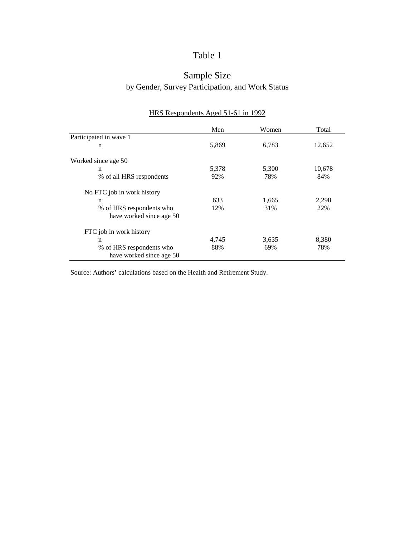# Sample Size by Gender, Survey Participation, and Work Status

|                            | Men   | Women | Total  |
|----------------------------|-------|-------|--------|
| Participated in wave 1     |       |       |        |
| n                          | 5,869 | 6,783 | 12,652 |
| Worked since age 50        |       |       |        |
| $\mathbf n$                | 5,378 | 5,300 | 10,678 |
| % of all HRS respondents   | 92%   | 78%   | 84%    |
| No FTC job in work history |       |       |        |
| n                          | 633   | 1,665 | 2,298  |
| % of HRS respondents who   | 12%   | 31%   | 22%    |
| have worked since age 50   |       |       |        |
| FTC job in work history    |       |       |        |
| n                          | 4,745 | 3,635 | 8,380  |
| % of HRS respondents who   | 88%   | 69%   | 78%    |
| have worked since age 50   |       |       |        |

## HRS Respondents Aged 51-61 in 1992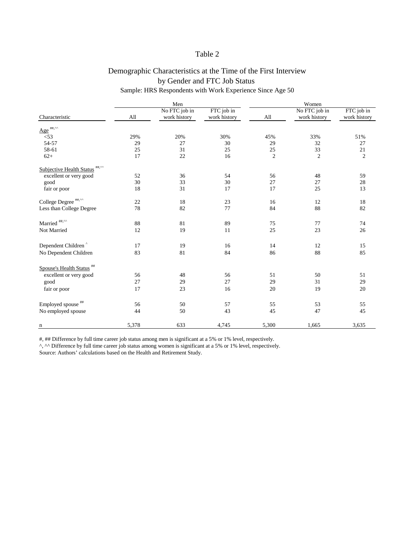# Demographic Characteristics at the Time of the First Interview by Gender and FTC Job Status

## Sample: HRS Respondents with Work Experience Since Age 50

|                                                 |        | Men           |              | Women          |                |                |  |
|-------------------------------------------------|--------|---------------|--------------|----------------|----------------|----------------|--|
|                                                 |        | No FTC job in | FTC job in   |                | No FTC job in  | FTC job in     |  |
| Characteristic                                  | All    | work history  | work history | All            | work history   | work history   |  |
| $Age^{\text{#H},\wedge\wedge}$                  |        |               |              |                |                |                |  |
| $< 53$                                          | 29%    | 20%           | 30%          | 45%            | 33%            | 51%            |  |
| 54-57                                           | 29     | 27            | 30           | 29             | 32             | 27             |  |
| 58-61                                           | 25     | 31            | 25           | 25             | 33             | $21\,$         |  |
| $62+$                                           | 17     | 22            | 16           | $\overline{2}$ | $\overline{2}$ | $\overline{2}$ |  |
| Subjective Health Status ##,^^                  |        |               |              |                |                |                |  |
| excellent or very good                          | 52     | 36            | 54           | 56             | 48             | 59             |  |
| good                                            | 30     | 33            | 30           | 27             | 27             | 28             |  |
| fair or poor                                    | 18     | 31            | 17           | 17             | 25             | 13             |  |
| College Degree $^{\text{\tiny\it\#H},\cdots\!}$ | $22\,$ | 18            | 23           | 16             | 12             | 18             |  |
| Less than College Degree                        | 78     | 82            | $77\,$       | 84             | 88             | 82             |  |
| Married $^{\sf\#}\!\!{\rm\sf I}^{\sf\#}\!$      | 88     | 81            | 89           | 75             | 77             | 74             |  |
| Not Married                                     | 12     | 19            | 11           | 25             | 23             | 26             |  |
|                                                 |        |               |              |                |                |                |  |
| Dependent Children                              | 17     | 19            | 16           | 14             | 12             | 15             |  |
| No Dependent Children                           | 83     | 81            | 84           | 86             | 88             | 85             |  |
| Spouse's Health Status <sup>##</sup>            |        |               |              |                |                |                |  |
| excellent or very good                          | 56     | 48            | 56           | 51             | 50             | 51             |  |
| good                                            | 27     | 29            | 27           | 29             | 31             | 29             |  |
| fair or poor                                    | 17     | 23            | 16           | 20             | 19             | $20\,$         |  |
|                                                 |        |               |              |                |                |                |  |
| Employed spouse <sup>##</sup>                   | 56     | 50            | 57           | 55             | 53             | 55             |  |
| No employed spouse                              | 44     | 50            | 43           | 45             | 47             | 45             |  |
| n                                               | 5,378  | 633           | 4,745        | 5,300          | 1,665          | 3,635          |  |

#, ## Difference by full time career job status among men is significant at a 5% or 1% level, respectively.

^, ^^ Difference by full time career job status among women is significant at a 5% or 1% level, respectively.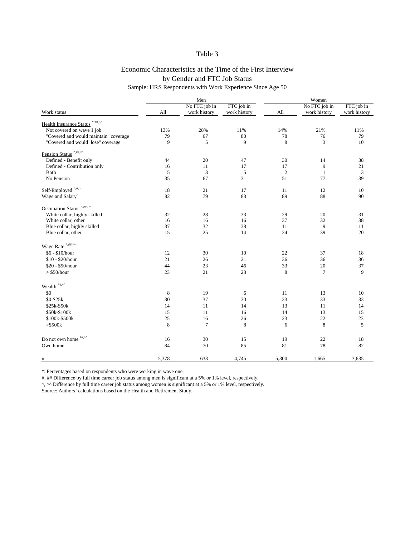# Economic Characteristics at the Time of the First Interview Sample: HRS Respondents with Work Experience Since Age 50 by Gender and FTC Job Status

|                                                                 | Men     |                |              | Women      |                |                |
|-----------------------------------------------------------------|---------|----------------|--------------|------------|----------------|----------------|
|                                                                 |         | No FTC job in  | FTC job in   |            | No FTC job in  | FTC job in     |
| Work status                                                     | All     | work history   | work history | All        | work history   | work history   |
| Health Insurance Status *,##,^^                                 |         |                |              |            |                |                |
| Not covered on wave 1 job                                       | 13%     | 28%            | 11%          | 14%        | 21%            | 11%            |
| "Covered and would maintain" coverage                           | 79      | 67             | 80           | $78\,$     | 76             | 79             |
| "Covered and would lose" coverage                               | 9       | 5              | 9            | 8          | 3              | 10             |
| Pension Status <sup>*,##,^^</sup>                               |         |                |              |            |                |                |
| Defined - Benefit only                                          | 44      | 20             | 47           | 30         | 14             | 38             |
| Defined - Contribution only                                     | 16      | 11             | 17           | 17         | $\overline{9}$ | $21\,$         |
| <b>Both</b>                                                     | 5       | $\mathfrak{Z}$ | $\sqrt{5}$   | $\sqrt{2}$ | $\mathbf{1}$   | $\mathfrak{Z}$ |
| No Pension                                                      | 35      | 67             | 31           | 51         | 77             | 39             |
| Self-Employed <sup>*,#,^</sup>                                  | 18      | 21             | 17           | 11         | 12             | 10             |
| Wage and Salary <sup>*</sup>                                    | 82      | 79             | 83           | 89         | 88             | 90             |
| Occupation Status <sup>*,##,^^</sup>                            |         |                |              |            |                |                |
| White collar, highly skilled                                    | 32      | 28             | 33           | 29         | 20             | 31             |
| White collar, other                                             | 16      | 16             | 16           | 37         | 32             | 38             |
| Blue collar, highly skilled                                     | 37      | 32             | 38           | 11         | 9              | 11             |
| Blue collar, other                                              | 15      | 25             | 14           | 24         | 39             | 20             |
| Wage Rate <sup>*,##,^^</sup>                                    |         |                |              |            |                |                |
| $$6 - $10/hour$                                                 | 12      | 30             | 10           | $22\,$     | 37             | 18             |
| \$10 - \$20/hour                                                | 21      | 26             | 21           | 36         | 36             | 36             |
| \$20 - \$50/hour                                                | 44      | 23             | 46           | 33         | $20\,$         | 37             |
| $>$ \$50/hour                                                   | 23      | 21             | 23           | $\,8\,$    | $\overline{7}$ | 9              |
| Wealth $\overset{\text{\tiny{#}\#,\wedge\wedge}}{\cdots}$       |         |                |              |            |                |                |
|                                                                 |         |                |              |            |                |                |
| \$0                                                             | $\,8\,$ | 19             | 6            | 11         | 13             | 10             |
| \$0-\$25k                                                       | 30      | 37             | 30           | 33         | 33             | 33             |
| \$25k-\$50k                                                     | 14      | 11             | 14           | 13         | 11             | 14             |
| \$50k-\$100k                                                    | 15      | 11             | 16           | 14         | 13             | 15             |
| \$100k-\$500k                                                   | 25      | 16             | 26           | 23         | 22             | 23             |
| $>\frac{6}{3}500k$                                              | $\,8\,$ | $\tau$         | $\,8\,$      | $\sqrt{6}$ | $\,8\,$        | $\sqrt{5}$     |
| Do not own home $\overset{\text{\tiny{}{\#}\#,\wedge\wedge}}{}$ | 16      | 30             | 15           | 19         | $22\,$         | 18             |
| Own home                                                        | 84      | 70             | 85           | 81         | 78             | 82             |
| n                                                               | 5,378   | 633            | 4,745        | 5,300      | 1,665          | 3,635          |
|                                                                 |         |                |              |            |                |                |

\*: Percentages based on respondents who were working in wave one.

#, ## Difference by full time career job status among men is significant at a 5% or 1% level, respectively.

^, ^^ Difference by full time career job status among women is significant at a 5% or 1% level, respectively.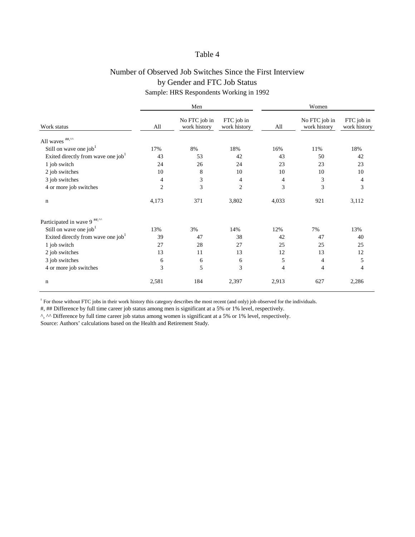# Number of Observed Job Switches Since the First Interview by Gender and FTC Job Status

Sample: HRS Respondents Working in 1992

|                                                |                | Men                           |                            | Women          |                               |                            |
|------------------------------------------------|----------------|-------------------------------|----------------------------|----------------|-------------------------------|----------------------------|
| Work status                                    | All            | No FTC job in<br>work history | FTC job in<br>work history | All            | No FTC job in<br>work history | FTC job in<br>work history |
|                                                |                |                               |                            |                |                               |                            |
| Still on wave one job                          | 17%            | 8%                            | 18%                        | 16%            | 11%                           | 18%                        |
| Exited directly from wave one job <sup>1</sup> | 43             | 53                            | 42                         | 43             | 50                            | 42                         |
| 1 job switch                                   | 24             | 26                            | 24                         | 23             | 23                            | 23                         |
| 2 job switches                                 | 10             | $8\,$                         | 10                         | 10             | 10                            | 10                         |
| 3 job switches                                 | $\overline{4}$ | 3                             | 4                          | $\overline{4}$ | 3                             | 4                          |
| 4 or more job switches                         | $\overline{2}$ | 3                             | $\mathfrak{2}$             | $\mathfrak{Z}$ | 3                             | 3                          |
| $\mathbf n$                                    | 4,173          | 371                           | 3,802                      | 4,033          | 921                           | 3,112                      |
| Participated in wave 9 <sup>##,^^</sup>        |                |                               |                            |                |                               |                            |
| Still on wave one job <sup>1</sup>             | 13%            | 3%                            | 14%                        | 12%            | 7%                            | 13%                        |
| Exited directly from wave one job              | 39             | 47                            | 38                         | 42             | 47                            | 40                         |
| 1 job switch                                   | 27             | 28                            | 27                         | 25             | 25                            | 25                         |
| 2 job switches                                 | 13             | 11                            | 13                         | 12             | 13                            | 12                         |
| 3 job switches                                 | 6              | $\boldsymbol{6}$              | 6                          | 5              | 4                             | 5                          |
| 4 or more job switches                         | 3              | 5                             | 3                          | $\overline{4}$ | 4                             | 4                          |
| $\mathbf n$                                    | 2,581          | 184                           | 2,397                      | 2,913          | 627                           | 2,286                      |

 $1$  For those without FTC jobs in their work history this category describes the most recent (and only) job observed for the individuals.

#, ## Difference by full time career job status among men is significant at a 5% or 1% level, respectively.

^, ^^ Difference by full time career job status among women is significant at a 5% or 1% level, respectively.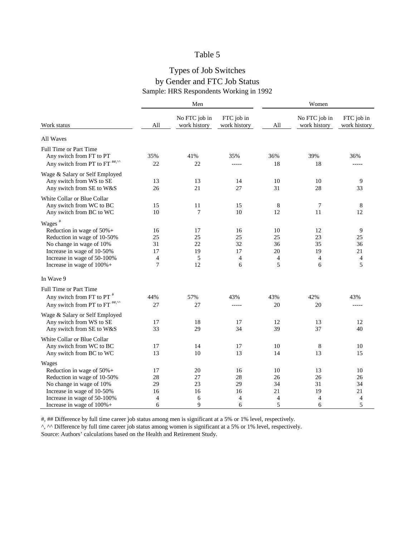# Types of Job Switches by Gender and FTC Job Status Sample: HRS Respondents Working in 1992

|                                                                                                                                                                                                     |                                                  | Men                             |                                |                                             | Women                                       |                                             |  |
|-----------------------------------------------------------------------------------------------------------------------------------------------------------------------------------------------------|--------------------------------------------------|---------------------------------|--------------------------------|---------------------------------------------|---------------------------------------------|---------------------------------------------|--|
| Work status                                                                                                                                                                                         | All                                              | No FTC job in<br>work history   | FTC job in<br>work history     | All                                         | No FTC job in<br>work history               | FTC job in<br>work history                  |  |
| All Waves                                                                                                                                                                                           |                                                  |                                 |                                |                                             |                                             |                                             |  |
| Full Time or Part Time<br>Any switch from FT to PT<br>Any switch from PT to FT <sup>##,^^</sup>                                                                                                     | 35%<br>22                                        | 41%<br>22                       | 35%<br>-----                   | 36%<br>18                                   | 39%<br>18                                   | 36%<br>-----                                |  |
| Wage & Salary or Self Employed<br>Any switch from WS to SE<br>Any switch from SE to W&S                                                                                                             | 13<br>26                                         | 13<br>21                        | 14<br>27                       | 10<br>31                                    | 10<br>28                                    | 9<br>33                                     |  |
| White Collar or Blue Collar<br>Any switch from WC to BC<br>Any switch from BC to WC                                                                                                                 | 15<br>10                                         | 11<br>7                         | 15<br>10                       | $\,8\,$<br>12                               | 7<br>11                                     | 8<br>12                                     |  |
| Wages $*$<br>Reduction in wage of $50\%$ +<br>Reduction in wage of 10-50%<br>No change in wage of 10%<br>Increase in wage of 10-50%<br>Increase in wage of 50-100%<br>Increase in wage of $100\%$ + | 16<br>25<br>31<br>17<br>$\overline{4}$<br>$\tau$ | 17<br>25<br>22<br>19<br>5<br>12 | 16<br>25<br>32<br>17<br>4<br>6 | 10<br>25<br>36<br>20<br>$\overline{4}$<br>5 | 12<br>23<br>35<br>19<br>$\overline{4}$<br>6 | 9<br>25<br>36<br>21<br>$\overline{4}$<br>5  |  |
| In Wave 9                                                                                                                                                                                           |                                                  |                                 |                                |                                             |                                             |                                             |  |
| <b>Full Time or Part Time</b><br>Any switch from FT to PT <sup>#</sup><br>Any switch from PT to FT <sup>##,^^</sup>                                                                                 | 44%<br>27                                        | 57%<br>27                       | 43%                            | 43%<br>20                                   | 42%<br>20                                   | 43%                                         |  |
| Wage & Salary or Self Employed<br>Any switch from WS to SE<br>Any switch from SE to W&S                                                                                                             | 17<br>33                                         | 18<br>29                        | 17<br>34                       | 12<br>39                                    | 13<br>37                                    | 12<br>40                                    |  |
| White Collar or Blue Collar<br>Any switch from WC to BC<br>Any switch from BC to WC                                                                                                                 | 17<br>13                                         | 14<br>10                        | 17<br>13                       | 10<br>14                                    | 8<br>13                                     | 10<br>15                                    |  |
| Wages<br>Reduction in wage of $50\%$ +<br>Reduction in wage of 10-50%<br>No change in wage of 10%<br>Increase in wage of 10-50%<br>Increase in wage of 50-100%<br>Increase in wage of $100\%$ +     | 17<br>28<br>29<br>16<br>4<br>6                   | 20<br>27<br>23<br>16<br>6<br>9  | 16<br>28<br>29<br>16<br>4<br>6 | 10<br>26<br>34<br>21<br>$\overline{4}$<br>5 | 13<br>26<br>31<br>19<br>$\overline{4}$<br>6 | 10<br>26<br>34<br>21<br>$\overline{4}$<br>5 |  |

#, ## Difference by full time career job status among men is significant at a 5% or 1% level, respectively.

^, ^^ Difference by full time career job status among women is significant at a 5% or 1% level, respectively.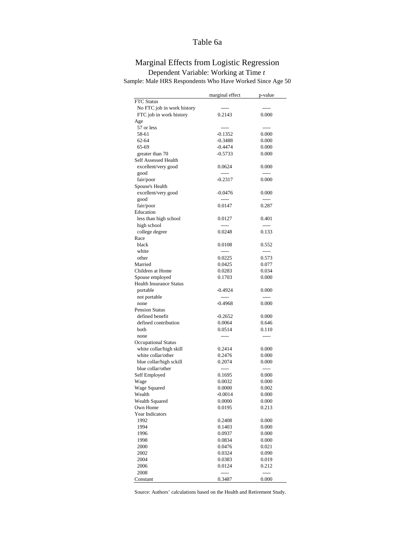## Table 6a

# Marginal Effects from Logistic Regression

|                                                       | marginal effect     | p-value        |
|-------------------------------------------------------|---------------------|----------------|
| FTC Status                                            |                     |                |
| No FTC job in work history                            |                     | -----          |
| FTC job in work history                               | 0.2143              | 0.000          |
| Age                                                   |                     |                |
| 57 or less                                            |                     | -----          |
| 58-61                                                 | $-0.1352$           | 0.000          |
| $62 - 64$                                             | $-0.3488$           | 0.000          |
| 65-69                                                 | $-0.4474$           | 0.000          |
| greater than 70                                       | $-0.5733$           | 0.000          |
| <b>Self Assessed Health</b>                           |                     |                |
| excellent/very good                                   | 0.0624              | 0.000          |
| good                                                  | ------              | -----          |
| fair/poor                                             | $-0.2317$           | 0.000          |
| Spouse's Health                                       |                     |                |
| excellent/very good                                   | $-0.0476$           | 0.000          |
| good                                                  | ------              | -----          |
| fair/poor                                             | 0.0147              | 0.287          |
| Education                                             |                     |                |
| less than high school                                 | 0.0127              | 0.401          |
| high school                                           |                     | -----          |
| college degree                                        | 0.0248              | 0.133          |
| Race                                                  |                     |                |
| black                                                 | 0.0108              | 0.552          |
| white                                                 |                     | -----          |
| other                                                 | 0.0225              | 0.573          |
| Married                                               | 0.0425              | 0.077          |
| Children at Home                                      | 0.0283              | 0.034          |
| Spouse employed                                       | 0.1703              | 0.000          |
| <b>Health Insurance Status</b>                        |                     |                |
| portable                                              | $-0.4924$           | 0.000          |
| not portable                                          | -----               | -----          |
| none                                                  | $-0.4968$           | 0.000          |
| <b>Pension Status</b>                                 |                     |                |
| defined benefit                                       | $-0.2652$<br>0.0064 | 0.000          |
| defined contribution                                  |                     | 0.646          |
| both                                                  | 0.0514              | 0.110          |
| none                                                  |                     |                |
| <b>Occupational Status</b><br>white collar/high skill |                     | 0.000          |
| white collar/other                                    | 0.2414              |                |
|                                                       | 0.2476<br>0.2074    | 0.000<br>0.000 |
| blue collar/high sckill<br>blue collar/other          | -----               | -----          |
|                                                       | 0.1695              | 0.000          |
| Self Employed                                         | 0.0032              | 0.000          |
| Wage                                                  | 0.0000              | 0.002          |
| <b>Wage Squared</b><br>Wealth                         | $-0.0014$           | 0.000          |
| <b>Wealth Squared</b>                                 | 0.0000              | 0.000          |
| Own Home                                              | 0.0195              | 0.213          |
| Year Indicators                                       |                     |                |
| 1992                                                  | 0.2408              | 0.000          |
| 1994                                                  | 0.1403              | 0.000          |
| 1996                                                  | 0.0937              | 0.000          |
| 1998                                                  | 0.0834              | 0.000          |
| 2000                                                  | 0.0476              | 0.021          |
| 2002                                                  | 0.0324              | 0.090          |
| 2004                                                  | 0.0383              | 0.019          |
| 2006                                                  | 0.0124              | 0.212          |
| 2008                                                  | $--- -$             | -----          |
| Constant                                              | 0.3487              | 0.000          |
|                                                       |                     |                |

Dependent Variable: Working at Time *t* Sample: Male HRS Respondents Who Have Worked Since Age 50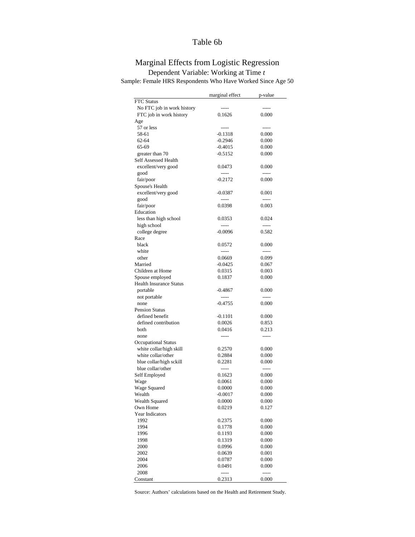## Table 6b

# Marginal Effects from Logistic Regression Dependent Variable: Working at Time *t*

Sample: Female HRS Respondents Who Have Worked Since Age 50

| <b>FTC</b> Status<br>No FTC job in work history<br>FTC job in work history<br>0.1626<br>0.000<br>Age<br>57 or less<br>-----<br>58-61<br>$-0.1318$<br>0.000<br>$62 - 64$<br>$-0.2946$<br>0.000<br>65-69<br>$-0.4015$<br>0.000<br>$-0.5152$<br>0.000<br>greater than 70<br><b>Self Assessed Health</b><br>excellent/very good<br>0.0473<br>0.000<br>good<br>-----<br>-----<br>fair/poor<br>$-0.2172$<br>0.000<br>Spouse's Health<br>excellent/very good<br>$-0.0387$<br>0.001<br>good<br>-----<br>-----<br>fair/poor<br>0.0398<br>0.003<br>Education<br>less than high school<br>0.0353<br>0.024<br>high school<br>-----<br>$-0.0096$<br>0.582<br>college degree<br>Race<br>black<br>0.0572<br>0.000<br>white<br>other<br>0.099<br>0.0669<br>Married<br>$-0.0425$<br>0.067<br>Children at Home<br>0.0315<br>0.003<br>0.1837<br>0.000<br>Spouse employed<br><b>Health Insurance Status</b><br>portable<br>-0.4867<br>0.000<br>not portable<br>-----<br>-----<br>0.000<br>$-0.4755$<br>none<br><b>Pension Status</b><br>defined benefit<br>$-0.1101$<br>0.000<br>defined contribution<br>0.0026<br>0.853<br>both<br>0.0416<br>0.213<br>none<br><b>Occupational Status</b><br>white collar/high skill<br>0.2570<br>0.000<br>white collar/other<br>0.2884<br>0.000<br>blue collar/high sckill<br>0.2281<br>0.000<br>blue collar/other<br>-----<br>-----<br>Self Employed<br>0.1623<br>0.000<br>0.0061<br>0.000<br>Wage<br>Wage Squared<br>0.0000<br>0.000<br>Wealth<br>$-0.0017$<br>0.000<br><b>Wealth Squared</b><br>0.0000<br>0.000<br>Own Home<br>0.0219<br>0.127<br><b>Year Indicators</b><br>1992<br>0.000<br>0.2375<br>1994<br>0.000<br>0.1778<br>1996<br>0.000<br>0.1193<br>1998<br>0.1319<br>0.000<br>2000<br>0.0996<br>0.000<br>2002<br>0.0639<br>0.001<br>2004<br>0.000<br>0.0787<br>2006<br>0.0491<br>0.000<br>2008<br>-----<br>----- |          | marginal effect | p-value |
|--------------------------------------------------------------------------------------------------------------------------------------------------------------------------------------------------------------------------------------------------------------------------------------------------------------------------------------------------------------------------------------------------------------------------------------------------------------------------------------------------------------------------------------------------------------------------------------------------------------------------------------------------------------------------------------------------------------------------------------------------------------------------------------------------------------------------------------------------------------------------------------------------------------------------------------------------------------------------------------------------------------------------------------------------------------------------------------------------------------------------------------------------------------------------------------------------------------------------------------------------------------------------------------------------------------------------------------------------------------------------------------------------------------------------------------------------------------------------------------------------------------------------------------------------------------------------------------------------------------------------------------------------------------------------------------------------------------------------------------------------------------------------------------------------------------------------------------------|----------|-----------------|---------|
|                                                                                                                                                                                                                                                                                                                                                                                                                                                                                                                                                                                                                                                                                                                                                                                                                                                                                                                                                                                                                                                                                                                                                                                                                                                                                                                                                                                                                                                                                                                                                                                                                                                                                                                                                                                                                                            |          |                 |         |
|                                                                                                                                                                                                                                                                                                                                                                                                                                                                                                                                                                                                                                                                                                                                                                                                                                                                                                                                                                                                                                                                                                                                                                                                                                                                                                                                                                                                                                                                                                                                                                                                                                                                                                                                                                                                                                            |          |                 |         |
|                                                                                                                                                                                                                                                                                                                                                                                                                                                                                                                                                                                                                                                                                                                                                                                                                                                                                                                                                                                                                                                                                                                                                                                                                                                                                                                                                                                                                                                                                                                                                                                                                                                                                                                                                                                                                                            |          |                 |         |
|                                                                                                                                                                                                                                                                                                                                                                                                                                                                                                                                                                                                                                                                                                                                                                                                                                                                                                                                                                                                                                                                                                                                                                                                                                                                                                                                                                                                                                                                                                                                                                                                                                                                                                                                                                                                                                            |          |                 |         |
|                                                                                                                                                                                                                                                                                                                                                                                                                                                                                                                                                                                                                                                                                                                                                                                                                                                                                                                                                                                                                                                                                                                                                                                                                                                                                                                                                                                                                                                                                                                                                                                                                                                                                                                                                                                                                                            |          |                 |         |
|                                                                                                                                                                                                                                                                                                                                                                                                                                                                                                                                                                                                                                                                                                                                                                                                                                                                                                                                                                                                                                                                                                                                                                                                                                                                                                                                                                                                                                                                                                                                                                                                                                                                                                                                                                                                                                            |          |                 |         |
|                                                                                                                                                                                                                                                                                                                                                                                                                                                                                                                                                                                                                                                                                                                                                                                                                                                                                                                                                                                                                                                                                                                                                                                                                                                                                                                                                                                                                                                                                                                                                                                                                                                                                                                                                                                                                                            |          |                 |         |
|                                                                                                                                                                                                                                                                                                                                                                                                                                                                                                                                                                                                                                                                                                                                                                                                                                                                                                                                                                                                                                                                                                                                                                                                                                                                                                                                                                                                                                                                                                                                                                                                                                                                                                                                                                                                                                            |          |                 |         |
|                                                                                                                                                                                                                                                                                                                                                                                                                                                                                                                                                                                                                                                                                                                                                                                                                                                                                                                                                                                                                                                                                                                                                                                                                                                                                                                                                                                                                                                                                                                                                                                                                                                                                                                                                                                                                                            |          |                 |         |
|                                                                                                                                                                                                                                                                                                                                                                                                                                                                                                                                                                                                                                                                                                                                                                                                                                                                                                                                                                                                                                                                                                                                                                                                                                                                                                                                                                                                                                                                                                                                                                                                                                                                                                                                                                                                                                            |          |                 |         |
|                                                                                                                                                                                                                                                                                                                                                                                                                                                                                                                                                                                                                                                                                                                                                                                                                                                                                                                                                                                                                                                                                                                                                                                                                                                                                                                                                                                                                                                                                                                                                                                                                                                                                                                                                                                                                                            |          |                 |         |
|                                                                                                                                                                                                                                                                                                                                                                                                                                                                                                                                                                                                                                                                                                                                                                                                                                                                                                                                                                                                                                                                                                                                                                                                                                                                                                                                                                                                                                                                                                                                                                                                                                                                                                                                                                                                                                            |          |                 |         |
|                                                                                                                                                                                                                                                                                                                                                                                                                                                                                                                                                                                                                                                                                                                                                                                                                                                                                                                                                                                                                                                                                                                                                                                                                                                                                                                                                                                                                                                                                                                                                                                                                                                                                                                                                                                                                                            |          |                 |         |
|                                                                                                                                                                                                                                                                                                                                                                                                                                                                                                                                                                                                                                                                                                                                                                                                                                                                                                                                                                                                                                                                                                                                                                                                                                                                                                                                                                                                                                                                                                                                                                                                                                                                                                                                                                                                                                            |          |                 |         |
|                                                                                                                                                                                                                                                                                                                                                                                                                                                                                                                                                                                                                                                                                                                                                                                                                                                                                                                                                                                                                                                                                                                                                                                                                                                                                                                                                                                                                                                                                                                                                                                                                                                                                                                                                                                                                                            |          |                 |         |
|                                                                                                                                                                                                                                                                                                                                                                                                                                                                                                                                                                                                                                                                                                                                                                                                                                                                                                                                                                                                                                                                                                                                                                                                                                                                                                                                                                                                                                                                                                                                                                                                                                                                                                                                                                                                                                            |          |                 |         |
|                                                                                                                                                                                                                                                                                                                                                                                                                                                                                                                                                                                                                                                                                                                                                                                                                                                                                                                                                                                                                                                                                                                                                                                                                                                                                                                                                                                                                                                                                                                                                                                                                                                                                                                                                                                                                                            |          |                 |         |
|                                                                                                                                                                                                                                                                                                                                                                                                                                                                                                                                                                                                                                                                                                                                                                                                                                                                                                                                                                                                                                                                                                                                                                                                                                                                                                                                                                                                                                                                                                                                                                                                                                                                                                                                                                                                                                            |          |                 |         |
|                                                                                                                                                                                                                                                                                                                                                                                                                                                                                                                                                                                                                                                                                                                                                                                                                                                                                                                                                                                                                                                                                                                                                                                                                                                                                                                                                                                                                                                                                                                                                                                                                                                                                                                                                                                                                                            |          |                 |         |
|                                                                                                                                                                                                                                                                                                                                                                                                                                                                                                                                                                                                                                                                                                                                                                                                                                                                                                                                                                                                                                                                                                                                                                                                                                                                                                                                                                                                                                                                                                                                                                                                                                                                                                                                                                                                                                            |          |                 |         |
|                                                                                                                                                                                                                                                                                                                                                                                                                                                                                                                                                                                                                                                                                                                                                                                                                                                                                                                                                                                                                                                                                                                                                                                                                                                                                                                                                                                                                                                                                                                                                                                                                                                                                                                                                                                                                                            |          |                 |         |
|                                                                                                                                                                                                                                                                                                                                                                                                                                                                                                                                                                                                                                                                                                                                                                                                                                                                                                                                                                                                                                                                                                                                                                                                                                                                                                                                                                                                                                                                                                                                                                                                                                                                                                                                                                                                                                            |          |                 |         |
|                                                                                                                                                                                                                                                                                                                                                                                                                                                                                                                                                                                                                                                                                                                                                                                                                                                                                                                                                                                                                                                                                                                                                                                                                                                                                                                                                                                                                                                                                                                                                                                                                                                                                                                                                                                                                                            |          |                 |         |
|                                                                                                                                                                                                                                                                                                                                                                                                                                                                                                                                                                                                                                                                                                                                                                                                                                                                                                                                                                                                                                                                                                                                                                                                                                                                                                                                                                                                                                                                                                                                                                                                                                                                                                                                                                                                                                            |          |                 |         |
|                                                                                                                                                                                                                                                                                                                                                                                                                                                                                                                                                                                                                                                                                                                                                                                                                                                                                                                                                                                                                                                                                                                                                                                                                                                                                                                                                                                                                                                                                                                                                                                                                                                                                                                                                                                                                                            |          |                 |         |
|                                                                                                                                                                                                                                                                                                                                                                                                                                                                                                                                                                                                                                                                                                                                                                                                                                                                                                                                                                                                                                                                                                                                                                                                                                                                                                                                                                                                                                                                                                                                                                                                                                                                                                                                                                                                                                            |          |                 |         |
|                                                                                                                                                                                                                                                                                                                                                                                                                                                                                                                                                                                                                                                                                                                                                                                                                                                                                                                                                                                                                                                                                                                                                                                                                                                                                                                                                                                                                                                                                                                                                                                                                                                                                                                                                                                                                                            |          |                 |         |
|                                                                                                                                                                                                                                                                                                                                                                                                                                                                                                                                                                                                                                                                                                                                                                                                                                                                                                                                                                                                                                                                                                                                                                                                                                                                                                                                                                                                                                                                                                                                                                                                                                                                                                                                                                                                                                            |          |                 |         |
|                                                                                                                                                                                                                                                                                                                                                                                                                                                                                                                                                                                                                                                                                                                                                                                                                                                                                                                                                                                                                                                                                                                                                                                                                                                                                                                                                                                                                                                                                                                                                                                                                                                                                                                                                                                                                                            |          |                 |         |
|                                                                                                                                                                                                                                                                                                                                                                                                                                                                                                                                                                                                                                                                                                                                                                                                                                                                                                                                                                                                                                                                                                                                                                                                                                                                                                                                                                                                                                                                                                                                                                                                                                                                                                                                                                                                                                            |          |                 |         |
|                                                                                                                                                                                                                                                                                                                                                                                                                                                                                                                                                                                                                                                                                                                                                                                                                                                                                                                                                                                                                                                                                                                                                                                                                                                                                                                                                                                                                                                                                                                                                                                                                                                                                                                                                                                                                                            |          |                 |         |
|                                                                                                                                                                                                                                                                                                                                                                                                                                                                                                                                                                                                                                                                                                                                                                                                                                                                                                                                                                                                                                                                                                                                                                                                                                                                                                                                                                                                                                                                                                                                                                                                                                                                                                                                                                                                                                            |          |                 |         |
|                                                                                                                                                                                                                                                                                                                                                                                                                                                                                                                                                                                                                                                                                                                                                                                                                                                                                                                                                                                                                                                                                                                                                                                                                                                                                                                                                                                                                                                                                                                                                                                                                                                                                                                                                                                                                                            |          |                 |         |
|                                                                                                                                                                                                                                                                                                                                                                                                                                                                                                                                                                                                                                                                                                                                                                                                                                                                                                                                                                                                                                                                                                                                                                                                                                                                                                                                                                                                                                                                                                                                                                                                                                                                                                                                                                                                                                            |          |                 |         |
|                                                                                                                                                                                                                                                                                                                                                                                                                                                                                                                                                                                                                                                                                                                                                                                                                                                                                                                                                                                                                                                                                                                                                                                                                                                                                                                                                                                                                                                                                                                                                                                                                                                                                                                                                                                                                                            |          |                 |         |
|                                                                                                                                                                                                                                                                                                                                                                                                                                                                                                                                                                                                                                                                                                                                                                                                                                                                                                                                                                                                                                                                                                                                                                                                                                                                                                                                                                                                                                                                                                                                                                                                                                                                                                                                                                                                                                            |          |                 |         |
|                                                                                                                                                                                                                                                                                                                                                                                                                                                                                                                                                                                                                                                                                                                                                                                                                                                                                                                                                                                                                                                                                                                                                                                                                                                                                                                                                                                                                                                                                                                                                                                                                                                                                                                                                                                                                                            |          |                 |         |
|                                                                                                                                                                                                                                                                                                                                                                                                                                                                                                                                                                                                                                                                                                                                                                                                                                                                                                                                                                                                                                                                                                                                                                                                                                                                                                                                                                                                                                                                                                                                                                                                                                                                                                                                                                                                                                            |          |                 |         |
|                                                                                                                                                                                                                                                                                                                                                                                                                                                                                                                                                                                                                                                                                                                                                                                                                                                                                                                                                                                                                                                                                                                                                                                                                                                                                                                                                                                                                                                                                                                                                                                                                                                                                                                                                                                                                                            |          |                 |         |
|                                                                                                                                                                                                                                                                                                                                                                                                                                                                                                                                                                                                                                                                                                                                                                                                                                                                                                                                                                                                                                                                                                                                                                                                                                                                                                                                                                                                                                                                                                                                                                                                                                                                                                                                                                                                                                            |          |                 |         |
|                                                                                                                                                                                                                                                                                                                                                                                                                                                                                                                                                                                                                                                                                                                                                                                                                                                                                                                                                                                                                                                                                                                                                                                                                                                                                                                                                                                                                                                                                                                                                                                                                                                                                                                                                                                                                                            |          |                 |         |
|                                                                                                                                                                                                                                                                                                                                                                                                                                                                                                                                                                                                                                                                                                                                                                                                                                                                                                                                                                                                                                                                                                                                                                                                                                                                                                                                                                                                                                                                                                                                                                                                                                                                                                                                                                                                                                            |          |                 |         |
|                                                                                                                                                                                                                                                                                                                                                                                                                                                                                                                                                                                                                                                                                                                                                                                                                                                                                                                                                                                                                                                                                                                                                                                                                                                                                                                                                                                                                                                                                                                                                                                                                                                                                                                                                                                                                                            |          |                 |         |
|                                                                                                                                                                                                                                                                                                                                                                                                                                                                                                                                                                                                                                                                                                                                                                                                                                                                                                                                                                                                                                                                                                                                                                                                                                                                                                                                                                                                                                                                                                                                                                                                                                                                                                                                                                                                                                            |          |                 |         |
|                                                                                                                                                                                                                                                                                                                                                                                                                                                                                                                                                                                                                                                                                                                                                                                                                                                                                                                                                                                                                                                                                                                                                                                                                                                                                                                                                                                                                                                                                                                                                                                                                                                                                                                                                                                                                                            |          |                 |         |
|                                                                                                                                                                                                                                                                                                                                                                                                                                                                                                                                                                                                                                                                                                                                                                                                                                                                                                                                                                                                                                                                                                                                                                                                                                                                                                                                                                                                                                                                                                                                                                                                                                                                                                                                                                                                                                            |          |                 |         |
|                                                                                                                                                                                                                                                                                                                                                                                                                                                                                                                                                                                                                                                                                                                                                                                                                                                                                                                                                                                                                                                                                                                                                                                                                                                                                                                                                                                                                                                                                                                                                                                                                                                                                                                                                                                                                                            |          |                 |         |
|                                                                                                                                                                                                                                                                                                                                                                                                                                                                                                                                                                                                                                                                                                                                                                                                                                                                                                                                                                                                                                                                                                                                                                                                                                                                                                                                                                                                                                                                                                                                                                                                                                                                                                                                                                                                                                            |          |                 |         |
|                                                                                                                                                                                                                                                                                                                                                                                                                                                                                                                                                                                                                                                                                                                                                                                                                                                                                                                                                                                                                                                                                                                                                                                                                                                                                                                                                                                                                                                                                                                                                                                                                                                                                                                                                                                                                                            |          |                 |         |
|                                                                                                                                                                                                                                                                                                                                                                                                                                                                                                                                                                                                                                                                                                                                                                                                                                                                                                                                                                                                                                                                                                                                                                                                                                                                                                                                                                                                                                                                                                                                                                                                                                                                                                                                                                                                                                            |          |                 |         |
|                                                                                                                                                                                                                                                                                                                                                                                                                                                                                                                                                                                                                                                                                                                                                                                                                                                                                                                                                                                                                                                                                                                                                                                                                                                                                                                                                                                                                                                                                                                                                                                                                                                                                                                                                                                                                                            |          |                 |         |
|                                                                                                                                                                                                                                                                                                                                                                                                                                                                                                                                                                                                                                                                                                                                                                                                                                                                                                                                                                                                                                                                                                                                                                                                                                                                                                                                                                                                                                                                                                                                                                                                                                                                                                                                                                                                                                            |          |                 |         |
|                                                                                                                                                                                                                                                                                                                                                                                                                                                                                                                                                                                                                                                                                                                                                                                                                                                                                                                                                                                                                                                                                                                                                                                                                                                                                                                                                                                                                                                                                                                                                                                                                                                                                                                                                                                                                                            |          |                 |         |
|                                                                                                                                                                                                                                                                                                                                                                                                                                                                                                                                                                                                                                                                                                                                                                                                                                                                                                                                                                                                                                                                                                                                                                                                                                                                                                                                                                                                                                                                                                                                                                                                                                                                                                                                                                                                                                            |          |                 |         |
|                                                                                                                                                                                                                                                                                                                                                                                                                                                                                                                                                                                                                                                                                                                                                                                                                                                                                                                                                                                                                                                                                                                                                                                                                                                                                                                                                                                                                                                                                                                                                                                                                                                                                                                                                                                                                                            |          |                 |         |
|                                                                                                                                                                                                                                                                                                                                                                                                                                                                                                                                                                                                                                                                                                                                                                                                                                                                                                                                                                                                                                                                                                                                                                                                                                                                                                                                                                                                                                                                                                                                                                                                                                                                                                                                                                                                                                            |          |                 |         |
|                                                                                                                                                                                                                                                                                                                                                                                                                                                                                                                                                                                                                                                                                                                                                                                                                                                                                                                                                                                                                                                                                                                                                                                                                                                                                                                                                                                                                                                                                                                                                                                                                                                                                                                                                                                                                                            |          |                 |         |
|                                                                                                                                                                                                                                                                                                                                                                                                                                                                                                                                                                                                                                                                                                                                                                                                                                                                                                                                                                                                                                                                                                                                                                                                                                                                                                                                                                                                                                                                                                                                                                                                                                                                                                                                                                                                                                            |          |                 |         |
|                                                                                                                                                                                                                                                                                                                                                                                                                                                                                                                                                                                                                                                                                                                                                                                                                                                                                                                                                                                                                                                                                                                                                                                                                                                                                                                                                                                                                                                                                                                                                                                                                                                                                                                                                                                                                                            | Constant | 0.2313          | 0.000   |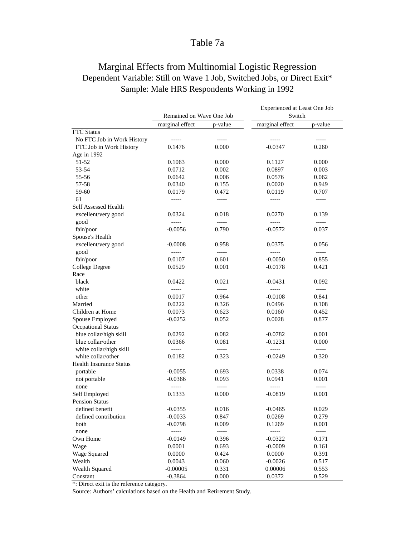# Table 7a

# Marginal Effects from Multinomial Logistic Regression Dependent Variable: Still on Wave 1 Job, Switched Jobs, or Direct Exit\* Sample: Male HRS Respondents Working in 1992

|                                |                          |               | Experienced at Least One Job |               |  |  |
|--------------------------------|--------------------------|---------------|------------------------------|---------------|--|--|
|                                | Remained on Wave One Job |               | Switch                       |               |  |  |
|                                | marginal effect          | p-value       | marginal effect              | p-value       |  |  |
| <b>FTC</b> Status              |                          |               |                              |               |  |  |
| No FTC Job in Work History     | -----                    | $- - - - -$   | -----                        | -----         |  |  |
| FTC Job in Work History        | 0.1476                   | 0.000         | $-0.0347$                    | 0.260         |  |  |
| Age in 1992                    |                          |               |                              |               |  |  |
| $51 - 52$                      | 0.1063                   | 0.000         | 0.1127                       | 0.000         |  |  |
| 53-54                          | 0.0712                   | 0.002         | 0.0897                       | 0.003         |  |  |
| 55-56                          | 0.0642                   | 0.006         | 0.0576                       | 0.062         |  |  |
| 57-58                          | 0.0340                   | 0.155         | 0.0020                       | 0.949         |  |  |
| 59-60                          | 0.0179                   | 0.472         | 0.0119                       | 0.707         |  |  |
| 61                             | -----                    | $- - - - -$   | -----                        | $- - - - -$   |  |  |
| Self Assessed Health           |                          |               |                              |               |  |  |
| excellent/very good            | 0.0324                   | 0.018         | 0.0270                       | 0.139         |  |  |
| good                           |                          | $\frac{1}{2}$ |                              | $-----1$      |  |  |
| fair/poor                      | $-0.0056$                | 0.790         | $-0.0572$                    | 0.037         |  |  |
| Spouse's Health                |                          |               |                              |               |  |  |
| excellent/very good            | $-0.0008$                | 0.958         | 0.0375                       | 0.056         |  |  |
| good                           | -----                    | $\frac{1}{2}$ |                              | $- - - - -$   |  |  |
| fair/poor                      | 0.0107                   | 0.601         | $-0.0050$                    | 0.855         |  |  |
| <b>College Degree</b>          | 0.0529                   | 0.001         | $-0.0178$                    | 0.421         |  |  |
| Race                           |                          |               |                              |               |  |  |
| black                          | 0.0422                   | 0.021         | $-0.0431$                    | 0.092         |  |  |
| white                          | -----                    | $\frac{1}{2}$ | $- - - - -$                  | $\frac{1}{2}$ |  |  |
| other                          | 0.0017                   | 0.964         | $-0.0108$                    | 0.841         |  |  |
| Married                        | 0.0222                   | 0.326         | 0.0496                       | 0.108         |  |  |
| Children at Home               | 0.0073                   | 0.623         | 0.0160                       | 0.452         |  |  |
| Spouse Employed                | $-0.0252$                | 0.052         | 0.0028                       | 0.877         |  |  |
| <b>Occpational Status</b>      |                          |               |                              |               |  |  |
| blue collar/high skill         | 0.0292                   | 0.082         | $-0.0782$                    | 0.001         |  |  |
| blue collar/other              | 0.0366                   | 0.081         | $-0.1231$                    | 0.000         |  |  |
| white collar/high skill        | $- - - - -$              | $- - - - -$   | $\overline{\phantom{a}}$     | $\frac{1}{2}$ |  |  |
| white collar/other             | 0.0182                   | 0.323         | $-0.0249$                    | 0.320         |  |  |
| <b>Health Insurance Status</b> |                          |               |                              |               |  |  |
| portable                       | $-0.0055$                | 0.693         | 0.0338                       | 0.074         |  |  |
| not portable                   | $-0.0366$                | 0.093         | 0.0941                       | 0.001         |  |  |
| none                           |                          |               |                              |               |  |  |
| Self Employed                  | 0.1333                   | 0.000         | $-0.0819$                    | 0.001         |  |  |
| <b>Pension Status</b>          |                          |               |                              |               |  |  |
| defined benefit                | $-0.0355$                | 0.016         | $-0.0465$                    | 0.029         |  |  |
| defined contribution           | $-0.0033$                | 0.847         | 0.0269                       | 0.279         |  |  |
| both                           | $-0.0798$                | 0.009         | 0.1269                       | 0.001         |  |  |
| none                           | -----                    | -----         |                              | -----         |  |  |
| Own Home                       | $-0.0149$                | 0.396         | $-0.0322$                    | 0.171         |  |  |
| Wage                           | 0.0001                   | 0.693         | $-0.0009$                    | 0.161         |  |  |
| Wage Squared                   | 0.0000                   | 0.424         | 0.0000                       | 0.391         |  |  |
| Wealth                         | 0.0043                   | 0.060         | $-0.0026$                    | 0.517         |  |  |
| Wealth Squared                 | $-0.00005$               | 0.331         | 0.00006                      | 0.553         |  |  |
| Constant                       | $-0.3864$                | 0.000         | 0.0372                       | 0.529         |  |  |

\*: Direct exit is the reference category.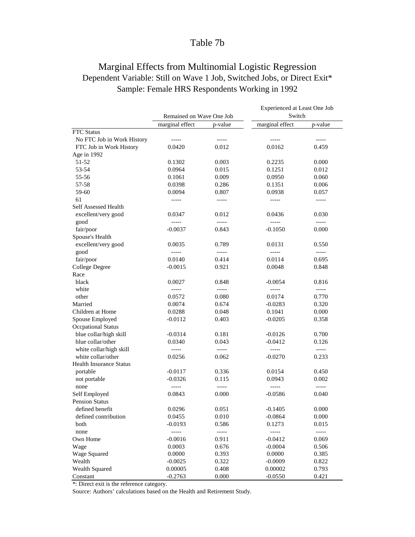# Table 7b

# Marginal Effects from Multinomial Logistic Regression Dependent Variable: Still on Wave 1 Job, Switched Jobs, or Direct Exit\* Sample: Female HRS Respondents Working in 1992

|                                |                          |               | Experienced at Least One Job |             |  |  |
|--------------------------------|--------------------------|---------------|------------------------------|-------------|--|--|
|                                | Remained on Wave One Job |               | Switch                       |             |  |  |
|                                | marginal effect          | p-value       | marginal effect              | p-value     |  |  |
| <b>FTC</b> Status              |                          |               |                              |             |  |  |
| No FTC Job in Work History     | $\frac{1}{2}$            | -----         | -----                        | $- - - - -$ |  |  |
| FTC Job in Work History        | 0.0420                   | 0.012         | 0.0162                       | 0.459       |  |  |
| Age in 1992                    |                          |               |                              |             |  |  |
| 51-52                          | 0.1302                   | 0.003         | 0.2235                       | 0.000       |  |  |
| 53-54                          | 0.0964                   | 0.015         | 0.1251                       | 0.012       |  |  |
| 55-56                          | 0.1061                   | 0.009         | 0.0950                       | 0.060       |  |  |
| 57-58                          | 0.0398                   | 0.286         | 0.1351                       | 0.006       |  |  |
| 59-60                          | 0.0094                   | 0.807         | 0.0938                       | 0.057       |  |  |
| 61                             | -----                    | -----         | -----                        | -----       |  |  |
| Self Assessed Health           |                          |               |                              |             |  |  |
| excellent/very good            | 0.0347                   | 0.012         | 0.0436                       | 0.030       |  |  |
| good                           |                          | $---$         |                              | $- - - - -$ |  |  |
| fair/poor                      | $-0.0037$                | 0.843         | $-0.1050$                    | 0.000       |  |  |
| Spouse's Health                |                          |               |                              |             |  |  |
| excellent/very good            | 0.0035                   | 0.789         | 0.0131                       | 0.550       |  |  |
| good                           |                          | -----         |                              | -----       |  |  |
| fair/poor                      | 0.0140                   | 0.414         | 0.0114                       | 0.695       |  |  |
| College Degree                 | $-0.0015$                | 0.921         | 0.0048                       | 0.848       |  |  |
| Race                           |                          |               |                              |             |  |  |
| black                          | 0.0027                   | 0.848         | $-0.0054$                    | 0.816       |  |  |
| white                          | -----                    | -----         | -----                        | -----       |  |  |
| other                          | 0.0572                   | 0.080         | 0.0174                       | 0.770       |  |  |
| Married                        | 0.0074                   | 0.674         | $-0.0283$                    | 0.320       |  |  |
| Children at Home               | 0.0288                   | 0.048         | 0.1041                       | 0.000       |  |  |
| Spouse Employed                | $-0.0112$                | 0.403         | $-0.0205$                    | 0.358       |  |  |
| <b>Occpational Status</b>      |                          |               |                              |             |  |  |
| blue collar/high skill         | $-0.0314$                | 0.181         | $-0.0126$                    | 0.700       |  |  |
| blue collar/other              | 0.0340                   | 0.043         | $-0.0412$                    | 0.126       |  |  |
| white collar/high skill        | $\frac{1}{2}$            | $\frac{1}{2}$ | $- - - - -$                  | $\cdots$    |  |  |
| white collar/other             | 0.0256                   | 0.062         | $-0.0270$                    | 0.233       |  |  |
| <b>Health Insurance Status</b> |                          |               |                              |             |  |  |
| portable                       | $-0.0117$                | 0.336         | 0.0154                       | 0.450       |  |  |
| not portable                   | $-0.0326$                | 0.115         | 0.0943                       | 0.002       |  |  |
| none                           |                          |               |                              |             |  |  |
| Self Employed                  | 0.0843                   | 0.000         | $-0.0586$                    | 0.040       |  |  |
| <b>Pension Status</b>          |                          |               |                              |             |  |  |
| defined benefit                | 0.0296                   | 0.051         | $-0.1405$                    | 0.000       |  |  |
| defined contribution           | 0.0455                   | 0.010         | $-0.0864$                    | 0.000       |  |  |
| both                           | $-0.0193$                | 0.586         | 0.1273                       | 0.015       |  |  |
| none                           | -----                    | -----         | -----                        | -----       |  |  |
| Own Home                       | $-0.0016$                | 0.911         | $-0.0412$                    | 0.069       |  |  |
| Wage                           | 0.0003                   | 0.676         | $-0.0004$                    | 0.506       |  |  |
| Wage Squared                   | 0.0000                   | 0.393         | 0.0000                       | 0.385       |  |  |
| Wealth                         | $-0.0025$                | 0.322         | $-0.0009$                    | 0.822       |  |  |
| Wealth Squared                 | 0.00005                  | 0.408         | 0.00002                      | 0.793       |  |  |
| Constant                       | $-0.2763$                | 0.000         | $-0.0550$                    | 0.421       |  |  |

\*: Direct exit is the reference category.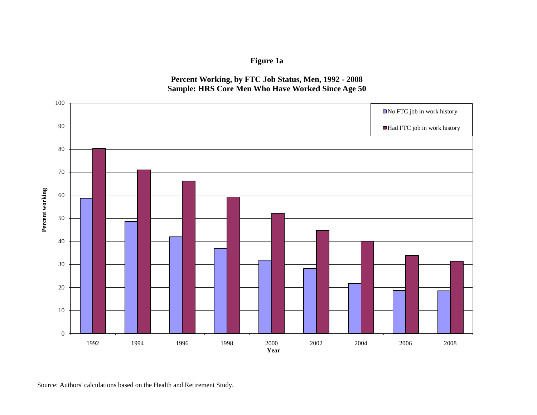

## **Percent Working, by FTC Job Status, Men, 1992 - 2008 Sample: HRS Core Men Who Have Worked Since Age 50**



Source: Authors' calculations based on the Health and Retirement Study.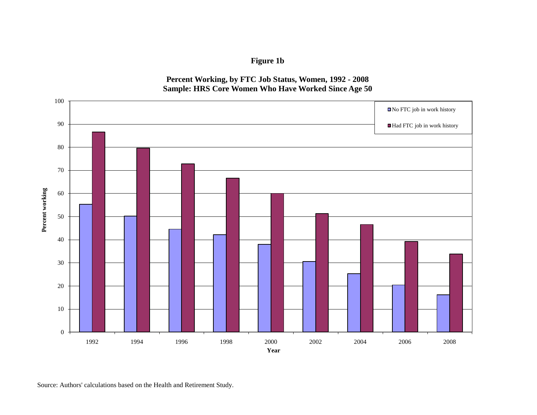



**Figure 1b**

Source: Authors' calculations based on the Health and Retirement Study.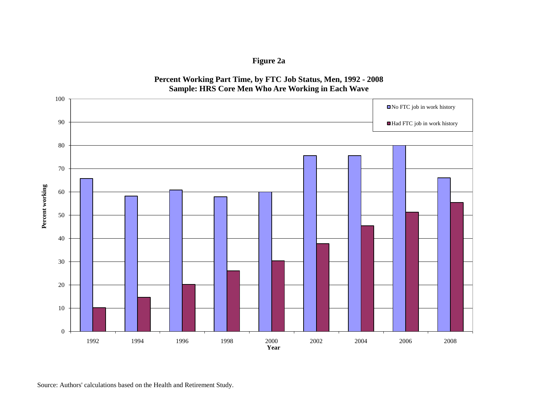

**Percent Working Part Time, by FTC Job Status, Men, 1992 - 2008 Sample: HRS Core Men Who Are Working in Each Wave**

**Figure 2a**